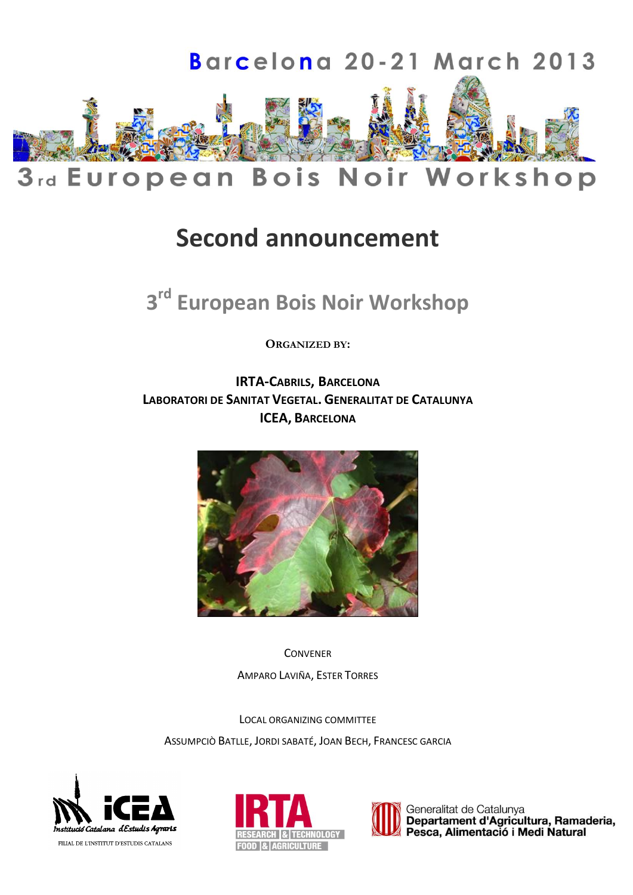

# **Second announcement**

# **3 rd European Bois Noir Workshop**

**ORGANIZED BY:**

**IRTA-CABRILS, BARCELONA LABORATORI DE SANITAT VEGETAL. GENERALITAT DE CATALUNYA ICEA, BARCELONA**



**CONVENER** AMPARO LAVIÑA, ESTER TORRES

LOCAL ORGANIZING COMMITTEE

ASSUMPCIÒ BATLLE, JORDI SABATÉ, JOAN BECH, FRANCESC GARCIA







Generalitat de Catalunya Departament d'Agricultura, Ramaderia, Pesca, Alimentació i Medi Natural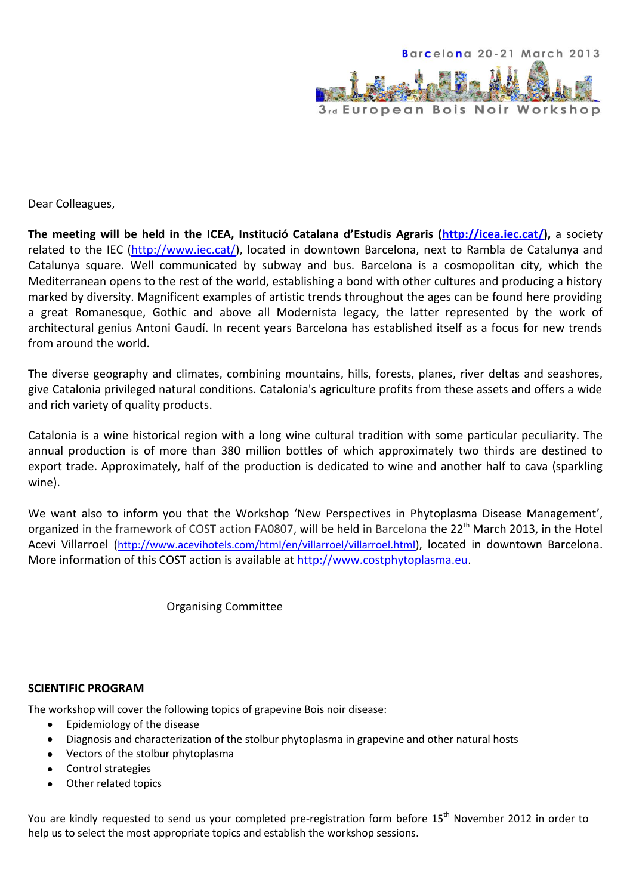

Dear Colleagues,

**The meeting will be held in the ICEA, Institució Catalana d'Estudis Agraris ([http://icea.iec.cat/\)](http://icea.iec.cat/),** a society related to the IEC [\(http://www.iec.cat/\)](http://www.iec.cat/), located in downtown Barcelona, next to Rambla de Catalunya and Catalunya square. Well communicated by subway and bus. Barcelona is a cosmopolitan city, which the Mediterranean opens to the rest of the world, establishing a bond with other cultures and producing a history marked by diversity. Magnificent examples of artistic trends throughout the ages can be found here providing a great Romanesque, Gothic and above all Modernista legacy, the latter represented by the work of architectural genius Antoni Gaudí. In recent years Barcelona has established itself as a focus for new trends from around the world.

The diverse geography and climates, combining mountains, hills, forests, planes, river deltas and seashores, give Catalonia privileged natural conditions. Catalonia's agriculture profits from these assets and offers a wide and rich variety of quality products.

Catalonia is a wine historical region with a long wine cultural tradition with some particular peculiarity. The annual production is of more than 380 million bottles of which approximately two thirds are destined to export trade. Approximately, half of the production is dedicated to wine and another half to cava (sparkling wine).

We want also to inform you that the Workshop 'New Perspectives in Phytoplasma Disease Management', organized in the framework of COST action FA0807, will be held in Barcelona the 22<sup>th</sup> March 2013, in the Hotel Acevi Villarroel ([http://www.acevihotels.com/html/en/villarroel/villarroel.html\)](http://www.acevihotels.com/html/en/villarroel/villarroel.html), located in downtown Barcelona. More information of this COST action is available at [http://www.costphytoplasma.eu.](http://www.costphytoplasma.eu/)

Organising Committee

#### **SCIENTIFIC PROGRAM**

The workshop will cover the following topics of grapevine Bois noir disease:

- Epidemiology of the disease  $\bullet$
- Diagnosis and characterization of the stolbur phytoplasma in grapevine and other natural hosts
- Vectors of the stolbur phytoplasma
- Control strategies
- Other related topics

You are kindly requested to send us your completed pre-registration form before 15<sup>th</sup> November 2012 in order to help us to select the most appropriate topics and establish the workshop sessions.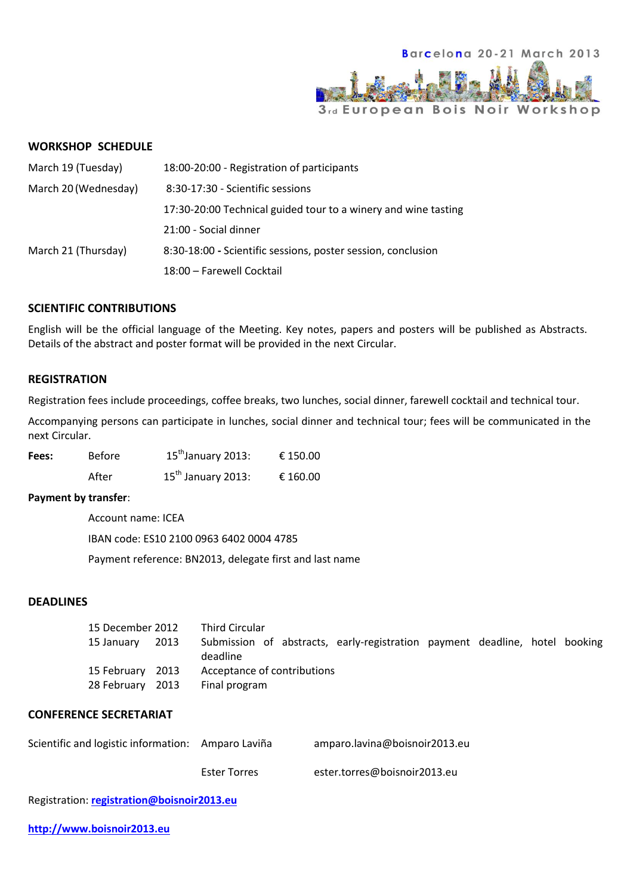

#### **WORKSHOP SCHEDULE**

| March 19 (Tuesday)   | 18:00-20:00 - Registration of participants                     |
|----------------------|----------------------------------------------------------------|
| March 20 (Wednesday) | 8:30-17:30 - Scientific sessions                               |
|                      | 17:30-20:00 Technical guided tour to a winery and wine tasting |
|                      | 21:00 - Social dinner                                          |
| March 21 (Thursday)  | 8:30-18:00 - Scientific sessions, poster session, conclusion   |
|                      | 18:00 - Farewell Cocktail                                      |

#### **SCIENTIFIC CONTRIBUTIONS**

English will be the official language of the Meeting. Key notes, papers and posters will be published as Abstracts. Details of the abstract and poster format will be provided in the next Circular.

#### **REGISTRATION**

Registration fees include proceedings, coffee breaks, two lunches, social dinner, farewell cocktail and technical tour.

Accompanying persons can participate in lunches, social dinner and technical tour; fees will be communicated in the next Circular.

| Fees: | Before | 15 <sup>th</sup> January 2013: | € 150.00 |
|-------|--------|--------------------------------|----------|
|       | After  | $15^{\text{th}}$ January 2013: | € 160.00 |

#### **Payment by transfer**:

Account name: ICEA

IBAN code: ES10 2100 0963 6402 0004 4785

Payment reference: BN2013, delegate first and last name

#### **DEADLINES**

| 15 December 2012 |      | <b>Third Circular</b>                                                                   |
|------------------|------|-----------------------------------------------------------------------------------------|
| 15 January       | 2013 | Submission of abstracts, early-registration payment deadline, hotel booking<br>deadline |
| 15 February 2013 |      | Acceptance of contributions                                                             |
| 28 February 2013 |      | Final program                                                                           |

#### **CONFERENCE SECRETARIAT**

| Scientific and logistic information: Amparo Laviña |                     | amparo.lavina@boisnoir2013.eu |
|----------------------------------------------------|---------------------|-------------------------------|
|                                                    | <b>Ester Torres</b> | ester.torres@boisnoir2013.eu  |

Registration: **[registration@boisnoir2013.eu](mailto:registration@boisnoir2013.eu)**

**[http://www.boisnoir2013.eu](http://www.boisnoir2013.eu/)**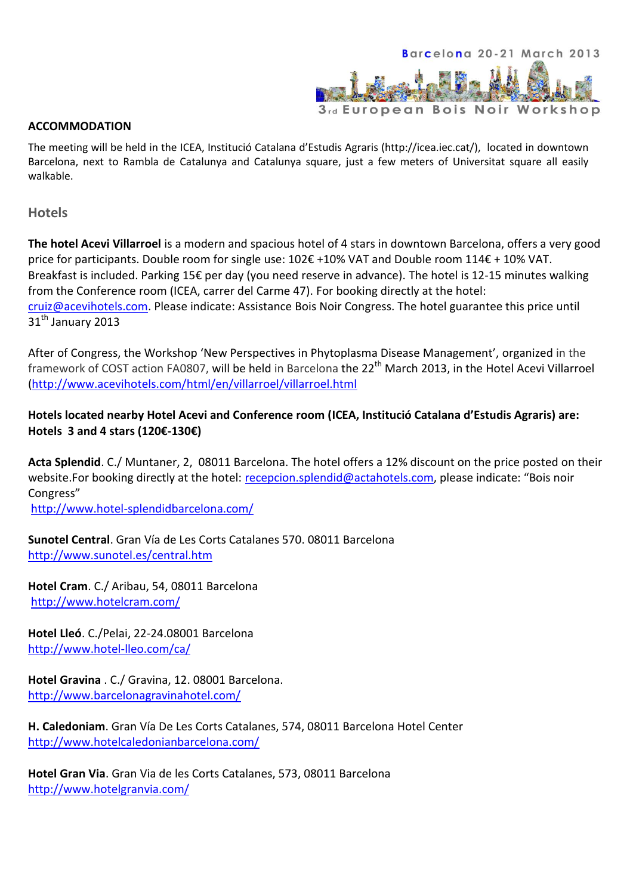

#### **ACCOMMODATION**

The meeting will be held in the ICEA, Institució Catalana d'Estudis Agraris (http://icea.iec.cat/), located in downtown Barcelona, next to Rambla de Catalunya and Catalunya square, just a few meters of Universitat square all easily walkable.

**Hotels**

**The hotel Acevi Villarroel** is a modern and spacious hotel of 4 stars in downtown Barcelona, offers a very good price for participants. Double room for single use: 102€ +10% VAT and Double room 114€ + 10% VAT. Breakfast is included. Parking 15€ per day (you need reserve in advance). The hotel is 12-15 minutes walking from the Conference room (ICEA, carrer del Carme 47). For booking directly at the hotel: [cruiz@acevihotels.com.](mailto:cruiz@acevihotels.com) Please indicate: Assistance Bois Noir Congress. The hotel guarantee this price until 31<sup>th</sup> January 2013

After of Congress, the Workshop 'New Perspectives in Phytoplasma Disease Management', organized in the framework of COST action FA0807, will be held in Barcelona the 22<sup>th</sup> March 2013, in the Hotel Acevi Villarroel [\(http://www.acevihotels.com/html/en/villarroel/villarroel.html](http://www.acevihotels.com/html/en/villarroel/villarroel.html) 

### **Hotels located nearby Hotel Acevi and Conference room (ICEA, Institució Catalana d'Estudis Agraris) are: Hotels 3 and 4 stars (120€-130€)**

**Acta Splendid**. C./ Muntaner, 2, 08011 Barcelona. The hotel offers a 12% discount on the price posted on their website.For booking directly at the hotel: [recepcion.splendid@actahotels.com](mailto:recepcion.splendid@actahotels.com), please indicate: "Bois noir Congress"

<http://www.hotel-splendidbarcelona.com/>

**Sunotel Central**. Gran Vía de Les Corts Catalanes 570. 08011 Barcelona <http://www.sunotel.es/central.htm>

**Hotel Cram**. C./ Aribau, 54, 08011 Barcelona <http://www.hotelcram.com/>

**Hotel Lleó**. C./Pelai, 22-24.08001 Barcelona <http://www.hotel-lleo.com/ca/>

**Hotel Gravina** . C./ Gravina, 12. 08001 Barcelona. <http://www.barcelonagravinahotel.com/>

**H. Caledoniam**. Gran Vía De Les Corts Catalanes, 574, 08011 Barcelona Hotel Center <http://www.hotelcaledonianbarcelona.com/>

**Hotel Gran Via**. Gran Via de les Corts Catalanes, 573, 08011 Barcelona <http://www.hotelgranvia.com/>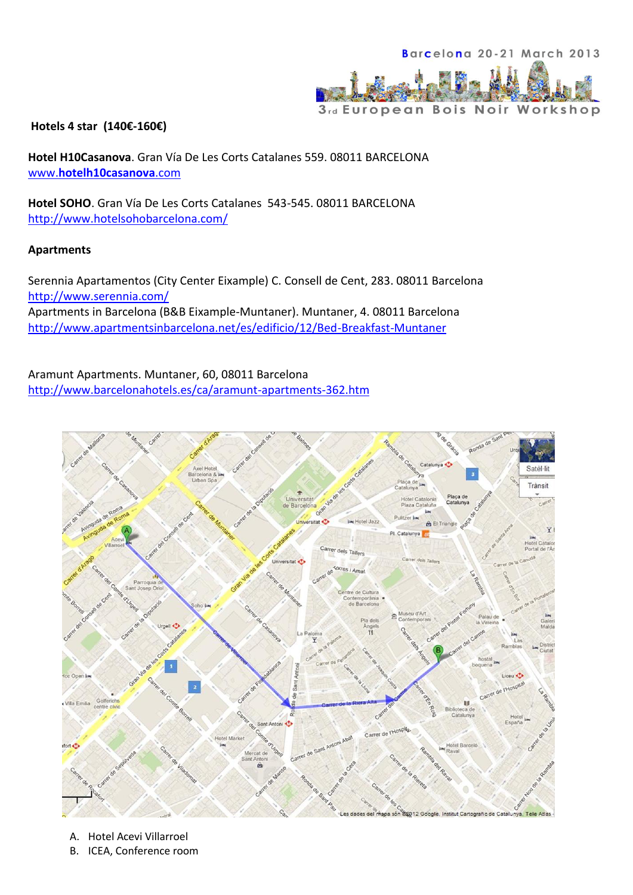

#### **Hotels 4 star (140€-160€)**

**Hotel H10Casanova**. Gran Vía De Les Corts Catalanes 559. 08011 BARCELONA www.**[hotelh10casanova](http://www.hotelh10casanova.com/)**.com

**Hotel SOHO**. Gran Vía De Les Corts Catalanes 543-545. 08011 BARCELONA <http://www.hotelsohobarcelona.com/>

#### **Apartments**

Serennia Apartamentos (City Center Eixample) C. Consell de Cent, 283. 08011 Barcelona <http://www.serennia.com/> Apartments in Barcelona (B&B Eixample-Muntaner). Muntaner, 4. 08011 Barcelona <http://www.apartmentsinbarcelona.net/es/edificio/12/Bed-Breakfast-Muntaner>

Aramunt Apartments. Muntaner, 60, 08011 Barcelona <http://www.barcelonahotels.es/ca/aramunt-apartments-362.htm>



- A. Hotel Acevi Villarroel
- B. ICEA, Conference room